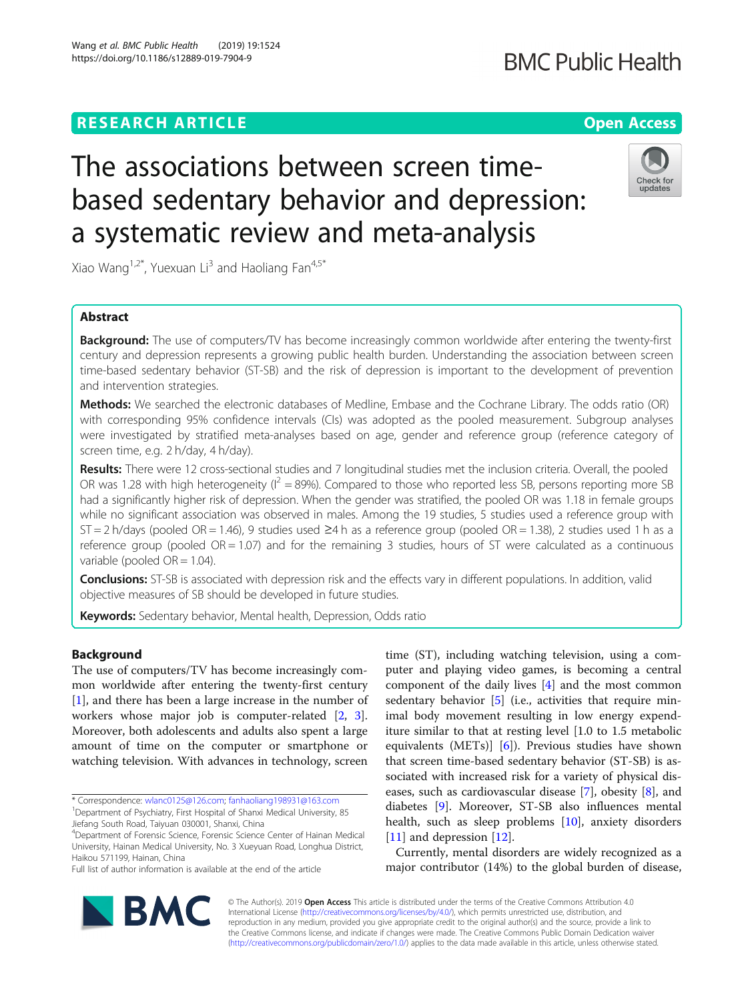## **RESEARCH ARTICLE Example 2014 12:30 The Contract of Contract ACCESS**

# The associations between screen timebased sedentary behavior and depression: a systematic review and meta-analysis

Xiao Wang<sup>1,2\*</sup>, Yuexuan Li<sup>3</sup> and Haoliang Fan<sup>4,5\*</sup>

## Abstract

**Background:** The use of computers/TV has become increasingly common worldwide after entering the twenty-first century and depression represents a growing public health burden. Understanding the association between screen time-based sedentary behavior (ST-SB) and the risk of depression is important to the development of prevention and intervention strategies.

Methods: We searched the electronic databases of Medline, Embase and the Cochrane Library. The odds ratio (OR) with corresponding 95% confidence intervals (CIs) was adopted as the pooled measurement. Subgroup analyses were investigated by stratified meta-analyses based on age, gender and reference group (reference category of screen time, e.g. 2 h/day, 4 h/day).

Results: There were 12 cross-sectional studies and 7 longitudinal studies met the inclusion criteria. Overall, the pooled OR was 1.28 with high heterogeneity ( $I^2 = 89\%$ ). Compared to those who reported less SB, persons reporting more SB had a significantly higher risk of depression. When the gender was stratified, the pooled OR was 1.18 in female groups while no significant association was observed in males. Among the 19 studies, 5 studies used a reference group with ST = 2 h/days (pooled OR = 1.46), 9 studies used ≥4 h as a reference group (pooled OR = 1.38), 2 studies used 1 h as a reference group (pooled  $OR = 1.07$ ) and for the remaining 3 studies, hours of ST were calculated as a continuous variable (pooled  $OR = 1.04$ ).

Conclusions: ST-SB is associated with depression risk and the effects vary in different populations. In addition, valid objective measures of SB should be developed in future studies.

**Keywords:** Sedentary behavior, Mental health, Depression, Odds ratio

## Background

The use of computers/TV has become increasingly common worldwide after entering the twenty-first century [[1\]](#page-6-0), and there has been a large increase in the number of workers whose major job is computer-related [\[2](#page-7-0), [3](#page-7-0)]. Moreover, both adolescents and adults also spent a large amount of time on the computer or smartphone or watching television. With advances in technology, screen

\* Correspondence: [wlanc0125@126.com](mailto:wlanc0125@126.com); [fanhaoliang198931@163.com](mailto:fanhaoliang198931@163.com) <sup>1</sup> <sup>1</sup>Department of Psychiatry, First Hospital of Shanxi Medical University, 85

Jiefang South Road, Taiyuan 030001, Shanxi, China

**BMC** 

4 Department of Forensic Science, Forensic Science Center of Hainan Medical University, Hainan Medical University, No. 3 Xueyuan Road, Longhua District, Haikou 571199, Hainan, China

Full list of author information is available at the end of the article

© The Author(s). 2019 **Open Access** This article is distributed under the terms of the Creative Commons Attribution 4.0 International License [\(http://creativecommons.org/licenses/by/4.0/](http://creativecommons.org/licenses/by/4.0/)), which permits unrestricted use, distribution, and reproduction in any medium, provided you give appropriate credit to the original author(s) and the source, provide a link to the Creative Commons license, and indicate if changes were made. The Creative Commons Public Domain Dedication waiver [\(http://creativecommons.org/publicdomain/zero/1.0/](http://creativecommons.org/publicdomain/zero/1.0/)) applies to the data made available in this article, unless otherwise stated.

time (ST), including watching television, using a computer and playing video games, is becoming a central component of the daily lives [[4\]](#page-7-0) and the most common sedentary behavior  $[5]$  $[5]$  (i.e., activities that require minimal body movement resulting in low energy expenditure similar to that at resting level [1.0 to 1.5 metabolic equivalents (METs)] [[6\]](#page-7-0)). Previous studies have shown that screen time-based sedentary behavior (ST-SB) is associated with increased risk for a variety of physical diseases, such as cardiovascular disease [\[7](#page-7-0)], obesity [[8\]](#page-7-0), and diabetes [[9\]](#page-7-0). Moreover, ST-SB also influences mental health, such as sleep problems [[10](#page-7-0)], anxiety disorders [[11\]](#page-7-0) and depression [\[12](#page-7-0)].

Currently, mental disorders are widely recognized as a major contributor (14%) to the global burden of disease,



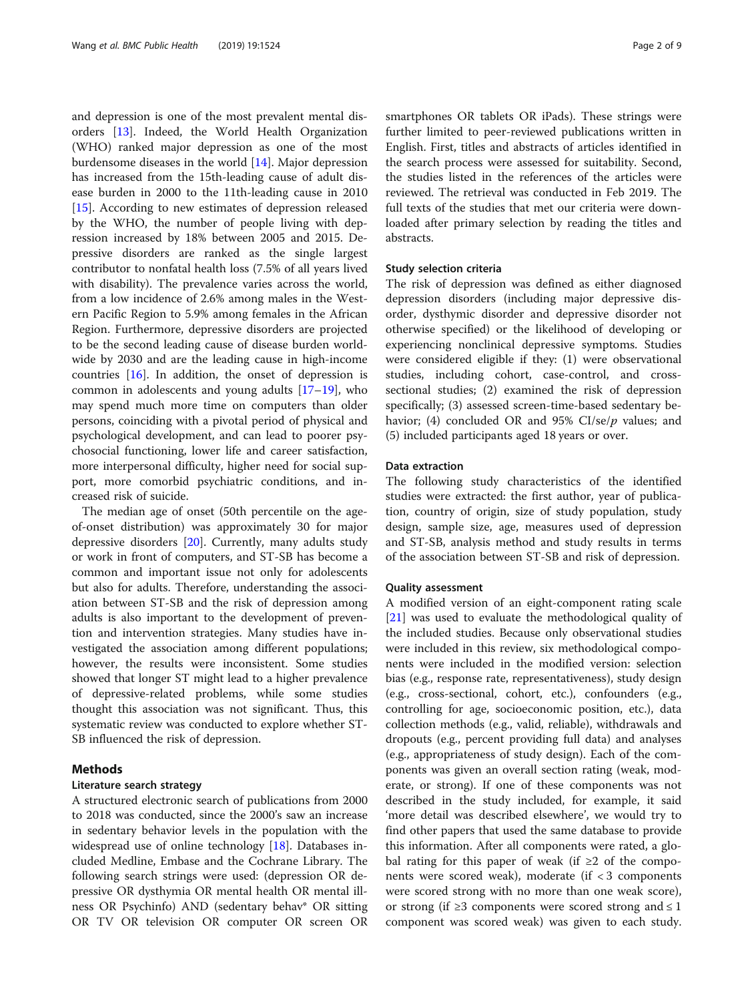and depression is one of the most prevalent mental disorders [\[13](#page-7-0)]. Indeed, the World Health Organization (WHO) ranked major depression as one of the most burdensome diseases in the world  $[14]$  $[14]$ . Major depression has increased from the 15th-leading cause of adult disease burden in 2000 to the 11th-leading cause in 2010 [[15\]](#page-7-0). According to new estimates of depression released by the WHO, the number of people living with depression increased by 18% between 2005 and 2015. Depressive disorders are ranked as the single largest contributor to nonfatal health loss (7.5% of all years lived with disability). The prevalence varies across the world, from a low incidence of 2.6% among males in the Western Pacific Region to 5.9% among females in the African Region. Furthermore, depressive disorders are projected to be the second leading cause of disease burden worldwide by 2030 and are the leading cause in high-income countries [[16\]](#page-7-0). In addition, the onset of depression is common in adolescents and young adults [[17](#page-7-0)–[19](#page-7-0)], who may spend much more time on computers than older persons, coinciding with a pivotal period of physical and psychological development, and can lead to poorer psychosocial functioning, lower life and career satisfaction, more interpersonal difficulty, higher need for social support, more comorbid psychiatric conditions, and increased risk of suicide.

The median age of onset (50th percentile on the ageof-onset distribution) was approximately 30 for major depressive disorders [[20\]](#page-7-0). Currently, many adults study or work in front of computers, and ST-SB has become a common and important issue not only for adolescents but also for adults. Therefore, understanding the association between ST-SB and the risk of depression among adults is also important to the development of prevention and intervention strategies. Many studies have investigated the association among different populations; however, the results were inconsistent. Some studies showed that longer ST might lead to a higher prevalence of depressive-related problems, while some studies thought this association was not significant. Thus, this systematic review was conducted to explore whether ST-SB influenced the risk of depression.

#### Methods

#### Literature search strategy

A structured electronic search of publications from 2000 to 2018 was conducted, since the 2000's saw an increase in sedentary behavior levels in the population with the widespread use of online technology [[18\]](#page-7-0). Databases included Medline, Embase and the Cochrane Library. The following search strings were used: (depression OR depressive OR dysthymia OR mental health OR mental illness OR Psychinfo) AND (sedentary behav\* OR sitting OR TV OR television OR computer OR screen OR smartphones OR tablets OR iPads). These strings were further limited to peer-reviewed publications written in English. First, titles and abstracts of articles identified in the search process were assessed for suitability. Second, the studies listed in the references of the articles were reviewed. The retrieval was conducted in Feb 2019. The full texts of the studies that met our criteria were downloaded after primary selection by reading the titles and abstracts.

#### Study selection criteria

The risk of depression was defined as either diagnosed depression disorders (including major depressive disorder, dysthymic disorder and depressive disorder not otherwise specified) or the likelihood of developing or experiencing nonclinical depressive symptoms. Studies were considered eligible if they: (1) were observational studies, including cohort, case-control, and crosssectional studies; (2) examined the risk of depression specifically; (3) assessed screen-time-based sedentary behavior; (4) concluded OR and 95%  $CI/se/p$  values; and (5) included participants aged 18 years or over.

#### Data extraction

The following study characteristics of the identified studies were extracted: the first author, year of publication, country of origin, size of study population, study design, sample size, age, measures used of depression and ST-SB, analysis method and study results in terms of the association between ST-SB and risk of depression.

#### Quality assessment

A modified version of an eight-component rating scale [[21\]](#page-7-0) was used to evaluate the methodological quality of the included studies. Because only observational studies were included in this review, six methodological components were included in the modified version: selection bias (e.g., response rate, representativeness), study design (e.g., cross-sectional, cohort, etc.), confounders (e.g., controlling for age, socioeconomic position, etc.), data collection methods (e.g., valid, reliable), withdrawals and dropouts (e.g., percent providing full data) and analyses (e.g., appropriateness of study design). Each of the components was given an overall section rating (weak, moderate, or strong). If one of these components was not described in the study included, for example, it said 'more detail was described elsewhere', we would try to find other papers that used the same database to provide this information. After all components were rated, a global rating for this paper of weak (if ≥2 of the components were scored weak), moderate (if  $<$  3 components were scored strong with no more than one weak score), or strong (if  $\geq$ 3 components were scored strong and  $\leq$  1 component was scored weak) was given to each study.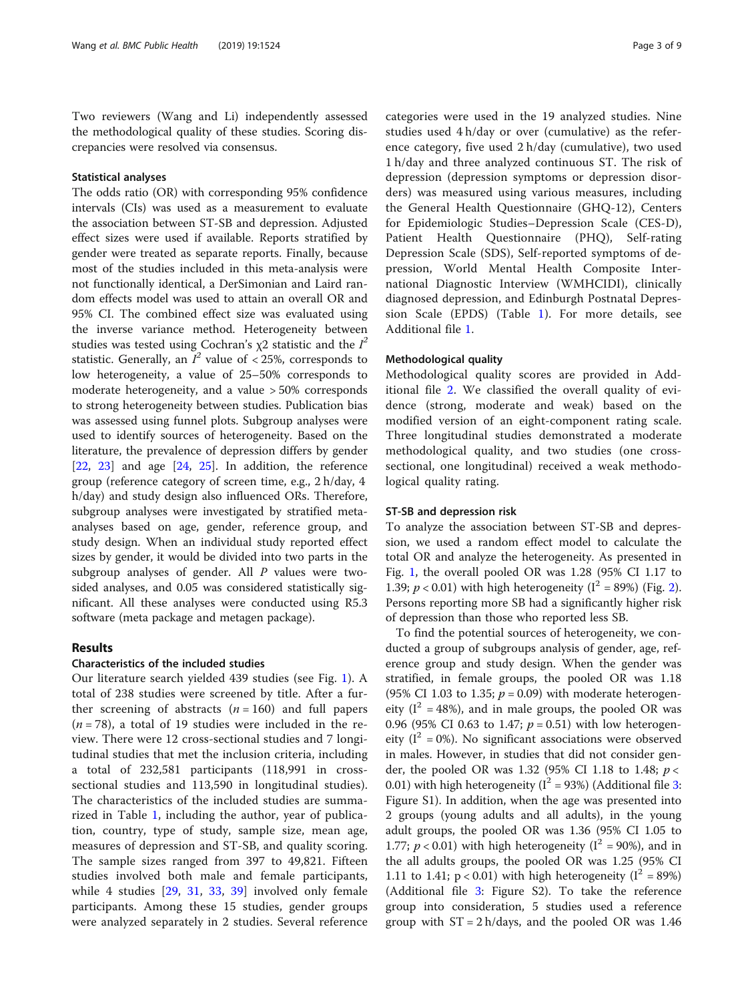Two reviewers (Wang and Li) independently assessed the methodological quality of these studies. Scoring discrepancies were resolved via consensus.

## Statistical analyses

The odds ratio (OR) with corresponding 95% confidence intervals (CIs) was used as a measurement to evaluate the association between ST-SB and depression. Adjusted effect sizes were used if available. Reports stratified by gender were treated as separate reports. Finally, because most of the studies included in this meta-analysis were not functionally identical, a DerSimonian and Laird random effects model was used to attain an overall OR and 95% CI. The combined effect size was evaluated using the inverse variance method. Heterogeneity between studies was tested using Cochran's  $\chi$ 2 statistic and the  $I^2$ statistic. Generally, an  $I^2$  value of < 25%, corresponds to low heterogeneity, a value of 25–50% corresponds to moderate heterogeneity, and a value > 50% corresponds to strong heterogeneity between studies. Publication bias was assessed using funnel plots. Subgroup analyses were used to identify sources of heterogeneity. Based on the literature, the prevalence of depression differs by gender  $[22, 23]$  $[22, 23]$  $[22, 23]$  $[22, 23]$  $[22, 23]$  and age  $[24, 25]$  $[24, 25]$  $[24, 25]$  $[24, 25]$  $[24, 25]$ . In addition, the reference group (reference category of screen time, e.g., 2 h/day, 4 h/day) and study design also influenced ORs. Therefore, subgroup analyses were investigated by stratified metaanalyses based on age, gender, reference group, and study design. When an individual study reported effect sizes by gender, it would be divided into two parts in the subgroup analyses of gender. All P values were twosided analyses, and 0.05 was considered statistically significant. All these analyses were conducted using R5.3 software (meta package and metagen package).

## Results

#### Characteristics of the included studies

Our literature search yielded 439 studies (see Fig. [1\)](#page-3-0). A total of 238 studies were screened by title. After a further screening of abstracts  $(n = 160)$  and full papers  $(n = 78)$ , a total of 19 studies were included in the review. There were 12 cross-sectional studies and 7 longitudinal studies that met the inclusion criteria, including a total of 232,581 participants (118,991 in crosssectional studies and 113,590 in longitudinal studies). The characteristics of the included studies are summarized in Table [1](#page-4-0), including the author, year of publication, country, type of study, sample size, mean age, measures of depression and ST-SB, and quality scoring. The sample sizes ranged from 397 to 49,821. Fifteen studies involved both male and female participants, while 4 studies [[29,](#page-7-0) [31](#page-7-0), [33](#page-7-0), [39](#page-7-0)] involved only female participants. Among these 15 studies, gender groups were analyzed separately in 2 studies. Several reference categories were used in the 19 analyzed studies. Nine studies used 4 h/day or over (cumulative) as the reference category, five used 2 h/day (cumulative), two used 1 h/day and three analyzed continuous ST. The risk of depression (depression symptoms or depression disorders) was measured using various measures, including the General Health Questionnaire (GHQ-12), Centers for Epidemiologic Studies–Depression Scale (CES-D), Patient Health Questionnaire (PHQ), Self-rating Depression Scale (SDS), Self-reported symptoms of depression, World Mental Health Composite International Diagnostic Interview (WMHCIDI), clinically diagnosed depression, and Edinburgh Postnatal Depression Scale (EPDS) (Table [1](#page-4-0)). For more details, see Additional file [1](#page-6-0).

#### Methodological quality

Methodological quality scores are provided in Additional file [2](#page-6-0). We classified the overall quality of evidence (strong, moderate and weak) based on the modified version of an eight-component rating scale. Three longitudinal studies demonstrated a moderate methodological quality, and two studies (one crosssectional, one longitudinal) received a weak methodological quality rating.

#### ST-SB and depression risk

To analyze the association between ST-SB and depression, we used a random effect model to calculate the total OR and analyze the heterogeneity. As presented in Fig. [1](#page-3-0), the overall pooled OR was 1.28 (95% CI 1.17 to 1.39;  $p < 0.01$ ) with high heterogeneity ( $I^2 = 89\%$  $I^2 = 89\%$  $I^2 = 89\%$ ) (Fig. 2). Persons reporting more SB had a significantly higher risk of depression than those who reported less SB.

To find the potential sources of heterogeneity, we conducted a group of subgroups analysis of gender, age, reference group and study design. When the gender was stratified, in female groups, the pooled OR was 1.18 (95% CI 1.03 to 1.35;  $p = 0.09$ ) with moderate heterogeneity ( $I^2 = 48\%$ ), and in male groups, the pooled OR was 0.96 (95% CI 0.63 to 1.47;  $p = 0.51$ ) with low heterogeneity ( $I^2 = 0$ %). No significant associations were observed in males. However, in studies that did not consider gender, the pooled OR was 1.32 (95% CI 1.18 to 1.48;  $p <$ 0.01) with high heterogeneity ( $I^2$  = 9[3](#page-6-0)%) (Additional file 3: Figure S1). In addition, when the age was presented into 2 groups (young adults and all adults), in the young adult groups, the pooled OR was 1.36 (95% CI 1.05 to 1.77;  $p < 0.01$ ) with high heterogeneity ( $I^2 = 90\%$ ), and in the all adults groups, the pooled OR was 1.25 (95% CI 1.11 to 1.41;  $p < 0.01$ ) with high heterogeneity ( $I^2 = 89\%)$ (Additional file [3](#page-6-0): Figure S2). To take the reference group into consideration, 5 studies used a reference group with  $ST = 2 h/day$ , and the pooled OR was 1.46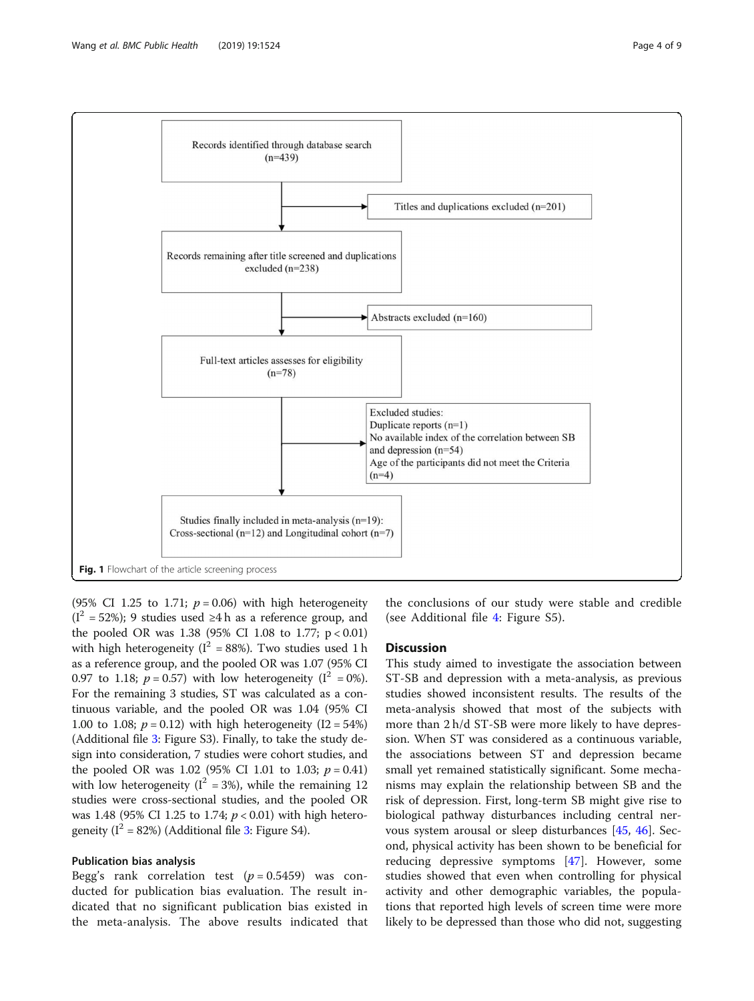<span id="page-3-0"></span>

(95% CI 1.25 to 1.71;  $p = 0.06$ ) with high heterogeneity  $(I<sup>2</sup> = 52%)$ ; 9 studies used ≥4 h as a reference group, and the pooled OR was 1.38 (95% CI 1.08 to 1.77; p < 0.01) with high heterogeneity ( $I^2 = 88\%$ ). Two studies used 1 h as a reference group, and the pooled OR was 1.07 (95% CI 0.97 to 1.18;  $p = 0.57$ ) with low heterogeneity ( $I^2 = 0\%$ ). For the remaining 3 studies, ST was calculated as a continuous variable, and the pooled OR was 1.04 (95% CI 1.00 to 1.08;  $p = 0.12$ ) with high heterogeneity (I2 = 54%) (Additional file [3:](#page-6-0) Figure S3). Finally, to take the study design into consideration, 7 studies were cohort studies, and the pooled OR was 1.02 (95% CI 1.01 to 1.03;  $p = 0.41$ ) with low heterogeneity ( $I^2 = 3\%$ ), while the remaining 12 studies were cross-sectional studies, and the pooled OR was 1.48 (95% CI 1.25 to 1.74;  $p < 0.01$ ) with high heterogeneity ( $I^2 = 82\%$ ) (Additional file [3](#page-6-0): Figure S4).

## Publication bias analysis

Begg's rank correlation test  $(p = 0.5459)$  was conducted for publication bias evaluation. The result indicated that no significant publication bias existed in the meta-analysis. The above results indicated that the conclusions of our study were stable and credible (see Additional file [4](#page-6-0): Figure S5).

## **Discussion**

This study aimed to investigate the association between ST-SB and depression with a meta-analysis, as previous studies showed inconsistent results. The results of the meta-analysis showed that most of the subjects with more than 2 h/d ST-SB were more likely to have depression. When ST was considered as a continuous variable, the associations between ST and depression became small yet remained statistically significant. Some mechanisms may explain the relationship between SB and the risk of depression. First, long-term SB might give rise to biological pathway disturbances including central nervous system arousal or sleep disturbances [[45](#page-7-0), [46](#page-7-0)]. Second, physical activity has been shown to be beneficial for reducing depressive symptoms [[47\]](#page-7-0). However, some studies showed that even when controlling for physical activity and other demographic variables, the populations that reported high levels of screen time were more likely to be depressed than those who did not, suggesting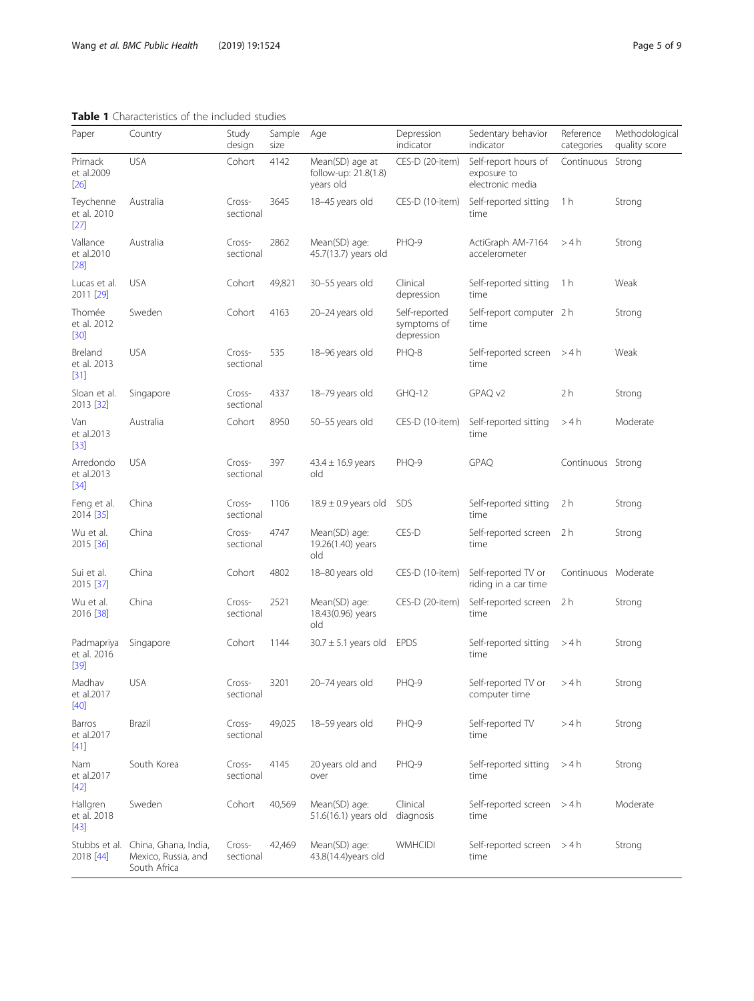## <span id="page-4-0"></span>Table 1 Characteristics of the included studies

| Paper                               | Country                                                                   | Study<br>design     | Sample<br>size | Age                                                  | Depression<br>indicator                    | Sedentary behavior<br>indicator                         | Reference<br>categories | Methodological<br>quality score |
|-------------------------------------|---------------------------------------------------------------------------|---------------------|----------------|------------------------------------------------------|--------------------------------------------|---------------------------------------------------------|-------------------------|---------------------------------|
| Primack<br>et al.2009<br>$[26]$     | <b>USA</b>                                                                | Cohort              | 4142           | Mean(SD) age at<br>follow-up: 21.8(1.8)<br>years old | CES-D (20-item)                            | Self-report hours of<br>exposure to<br>electronic media | Continuous Strong       |                                 |
| Teychenne<br>et al. 2010<br>$[27]$  | Australia                                                                 | Cross-<br>sectional | 3645           | 18-45 years old                                      | CES-D (10-item)                            | Self-reported sitting<br>time                           | 1 h                     | Strong                          |
| Vallance<br>et al.2010<br>$[28]$    | Australia                                                                 | Cross-<br>sectional | 2862           | Mean(SD) age:<br>45.7(13.7) years old                | PHQ-9                                      | ActiGraph AM-7164<br>accelerometer                      | >4h                     | Strong                          |
| Lucas et al.<br>2011 [29]           | <b>USA</b>                                                                | Cohort              | 49,821         | 30-55 years old                                      | Clinical<br>depression                     | Self-reported sitting<br>time                           | 1 h                     | Weak                            |
| Thomée<br>et al. 2012<br>$[30]$     | Sweden                                                                    | Cohort              | 4163           | 20-24 years old                                      | Self-reported<br>symptoms of<br>depression | Self-report computer 2 h<br>time                        |                         | Strong                          |
| Breland<br>et al. 2013<br>$[31]$    | <b>USA</b>                                                                | Cross-<br>sectional | 535            | 18-96 years old                                      | PHQ-8                                      | Self-reported screen $>4 h$<br>time                     |                         | Weak                            |
| Sloan et al.<br>2013 [32]           | Singapore                                                                 | Cross-<br>sectional | 4337           | 18-79 years old                                      | GHQ-12                                     | GPAQ v2                                                 | 2 <sub>h</sub>          | Strong                          |
| Van<br>et al.2013<br>$[33]$         | Australia                                                                 | Cohort              | 8950           | 50-55 years old                                      | CES-D (10-item)                            | Self-reported sitting<br>time                           | >4h                     | Moderate                        |
| Arredondo<br>et al.2013<br>$[34]$   | <b>USA</b>                                                                | Cross-<br>sectional | 397            | $43.4 \pm 16.9$ years<br>old                         | PHQ-9                                      | <b>GPAQ</b>                                             | Continuous Strong       |                                 |
| Feng et al.<br>2014 [35]            | China                                                                     | Cross-<br>sectional | 1106           | $18.9 \pm 0.9$ years old                             | <b>SDS</b>                                 | Self-reported sitting<br>time                           | 2 h                     | Strong                          |
| Wu et al.<br>2015 [36]              | China                                                                     | Cross-<br>sectional | 4747           | Mean(SD) age:<br>19.26(1.40) years<br>old            | CES-D                                      | Self-reported screen 2 h<br>time                        |                         | Strong                          |
| Sui et al.<br>2015 [37]             | China                                                                     | Cohort              | 4802           | 18-80 years old                                      | CES-D (10-item)                            | Self-reported TV or<br>riding in a car time             | Continuous Moderate     |                                 |
| Wu et al.<br>2016 [38]              | China                                                                     | Cross-<br>sectional | 2521           | Mean(SD) age:<br>18.43(0.96) years<br>old            | CES-D (20-item)                            | Self-reported screen<br>time                            | 2 h                     | Strong                          |
| Padmapriya<br>et al. 2016<br>$[39]$ | Singapore                                                                 | Cohort              | 1144           | $30.7 \pm 5.1$ years old                             | <b>EPDS</b>                                | Self-reported sitting<br>time                           | >4 h                    | Strong                          |
| Madhav<br>et al.2017<br>$[40]$      | <b>USA</b>                                                                | Cross-<br>sectional | 3201           | 20-74 years old                                      | PHQ-9                                      | Self-reported TV or<br>computer time                    | >4h                     | Strong                          |
| Barros<br>et al.2017<br>$[41]$      | Brazil                                                                    | Cross-<br>sectional | 49,025         | 18-59 years old                                      | PHQ-9                                      | Self-reported TV<br>time                                | >4 h                    | Strong                          |
| Nam<br>et al.2017<br>$[42]$         | South Korea                                                               | Cross-<br>sectional | 4145           | 20 years old and<br>over                             | PHQ-9                                      | Self-reported sitting<br>time                           | >4 h                    | Strong                          |
| Hallgren<br>et al. 2018<br>$[43]$   | Sweden                                                                    | Cohort              | 40,569         | Mean(SD) age:<br>51.6(16.1) years old                | Clinical<br>diagnosis                      | Self-reported screen > 4 h<br>time                      |                         | Moderate                        |
| 2018 [44]                           | Stubbs et al. China, Ghana, India,<br>Mexico, Russia, and<br>South Africa | Cross-<br>sectional | 42,469         | Mean(SD) age:<br>43.8(14.4) years old                | <b>WMHCIDI</b>                             | Self-reported screen $>4 h$<br>time                     |                         | Strong                          |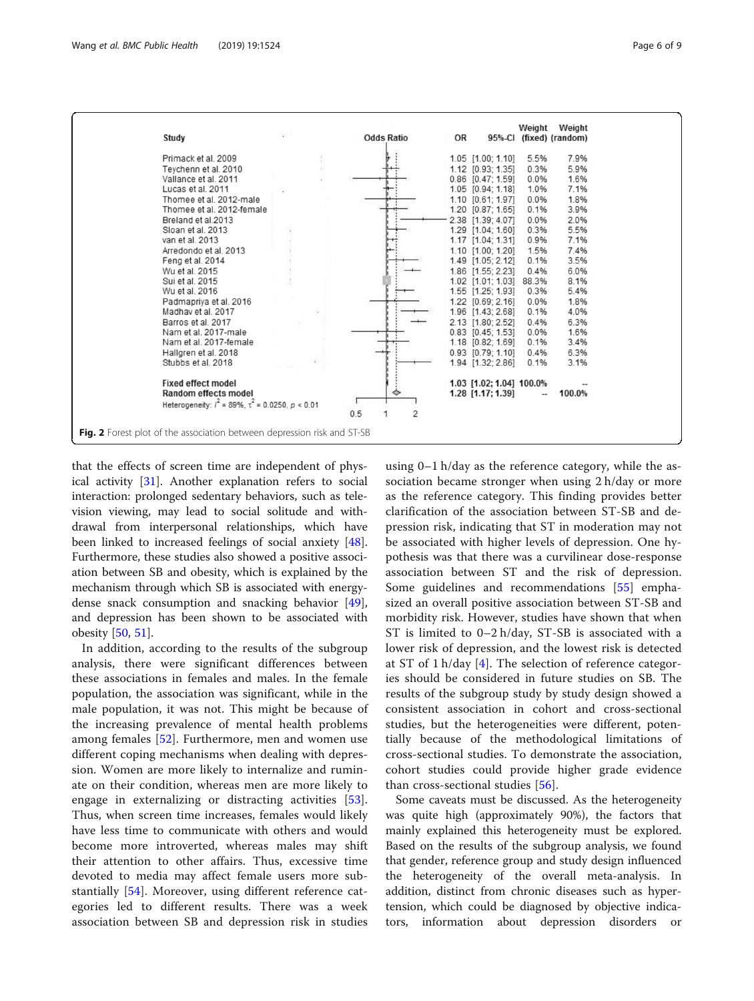<span id="page-5-0"></span>

that the effects of screen time are independent of physical activity [\[31](#page-7-0)]. Another explanation refers to social interaction: prolonged sedentary behaviors, such as television viewing, may lead to social solitude and withdrawal from interpersonal relationships, which have been linked to increased feelings of social anxiety [\[48](#page-8-0)]. Furthermore, these studies also showed a positive association between SB and obesity, which is explained by the mechanism through which SB is associated with energydense snack consumption and snacking behavior [\[49](#page-8-0)], and depression has been shown to be associated with obesity [\[50](#page-8-0), [51](#page-8-0)].

In addition, according to the results of the subgroup analysis, there were significant differences between these associations in females and males. In the female population, the association was significant, while in the male population, it was not. This might be because of the increasing prevalence of mental health problems among females [[52\]](#page-8-0). Furthermore, men and women use different coping mechanisms when dealing with depression. Women are more likely to internalize and ruminate on their condition, whereas men are more likely to engage in externalizing or distracting activities [\[53](#page-8-0)]. Thus, when screen time increases, females would likely have less time to communicate with others and would become more introverted, whereas males may shift their attention to other affairs. Thus, excessive time devoted to media may affect female users more substantially [[54](#page-8-0)]. Moreover, using different reference categories led to different results. There was a week association between SB and depression risk in studies

using 0–1 h/day as the reference category, while the association became stronger when using 2 h/day or more as the reference category. This finding provides better clarification of the association between ST-SB and depression risk, indicating that ST in moderation may not be associated with higher levels of depression. One hypothesis was that there was a curvilinear dose-response association between ST and the risk of depression. Some guidelines and recommendations [[55\]](#page-8-0) emphasized an overall positive association between ST-SB and morbidity risk. However, studies have shown that when ST is limited to 0–2 h/day, ST-SB is associated with a lower risk of depression, and the lowest risk is detected at ST of 1 h/day [[4\]](#page-7-0). The selection of reference categories should be considered in future studies on SB. The results of the subgroup study by study design showed a consistent association in cohort and cross-sectional studies, but the heterogeneities were different, potentially because of the methodological limitations of cross-sectional studies. To demonstrate the association, cohort studies could provide higher grade evidence than cross-sectional studies [[56\]](#page-8-0).

Some caveats must be discussed. As the heterogeneity was quite high (approximately 90%), the factors that mainly explained this heterogeneity must be explored. Based on the results of the subgroup analysis, we found that gender, reference group and study design influenced the heterogeneity of the overall meta-analysis. In addition, distinct from chronic diseases such as hypertension, which could be diagnosed by objective indicators, information about depression disorders or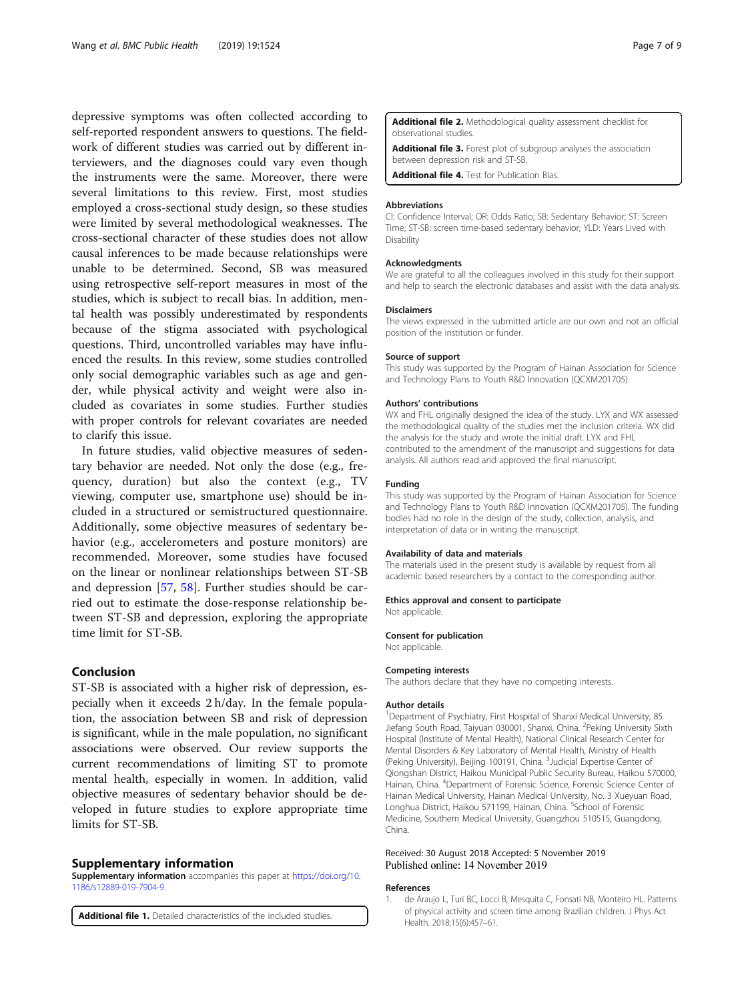<span id="page-6-0"></span>depressive symptoms was often collected according to self-reported respondent answers to questions. The fieldwork of different studies was carried out by different interviewers, and the diagnoses could vary even though the instruments were the same. Moreover, there were several limitations to this review. First, most studies employed a cross-sectional study design, so these studies were limited by several methodological weaknesses. The cross-sectional character of these studies does not allow causal inferences to be made because relationships were unable to be determined. Second, SB was measured using retrospective self-report measures in most of the studies, which is subject to recall bias. In addition, mental health was possibly underestimated by respondents because of the stigma associated with psychological questions. Third, uncontrolled variables may have influenced the results. In this review, some studies controlled only social demographic variables such as age and gender, while physical activity and weight were also included as covariates in some studies. Further studies with proper controls for relevant covariates are needed to clarify this issue.

In future studies, valid objective measures of sedentary behavior are needed. Not only the dose (e.g., frequency, duration) but also the context (e.g., TV viewing, computer use, smartphone use) should be included in a structured or semistructured questionnaire. Additionally, some objective measures of sedentary behavior (e.g., accelerometers and posture monitors) are recommended. Moreover, some studies have focused on the linear or nonlinear relationships between ST-SB and depression [[57,](#page-8-0) [58\]](#page-8-0). Further studies should be carried out to estimate the dose-response relationship between ST-SB and depression, exploring the appropriate time limit for ST-SB.

## Conclusion

ST-SB is associated with a higher risk of depression, especially when it exceeds 2 h/day. In the female population, the association between SB and risk of depression is significant, while in the male population, no significant associations were observed. Our review supports the current recommendations of limiting ST to promote mental health, especially in women. In addition, valid objective measures of sedentary behavior should be developed in future studies to explore appropriate time limits for ST-SB.

#### Supplementary information

Supplementary information accompanies this paper at [https://doi.org/10.](https://doi.org/10.1186/s12889-019-7904-9) [1186/s12889-019-7904-9.](https://doi.org/10.1186/s12889-019-7904-9)

Additional file 1. Detailed characteristics of the included studies.

Additional file 2. Methodological quality assessment checklist for observational studies.

Additional file 3. Forest plot of subgroup analyses the association between depression risk and ST-SB.

Additional file 4. Test for Publication Bias.

#### Abbreviations

CI: Confidence Interval; OR: Odds Ratio; SB: Sedentary Behavior; ST: Screen Time; ST-SB: screen time-based sedentary behavior; YLD: Years Lived with Disability

#### Acknowledgments

We are grateful to all the colleagues involved in this study for their support and help to search the electronic databases and assist with the data analysis.

#### Disclaimers

The views expressed in the submitted article are our own and not an official position of the institution or funder.

#### Source of support

This study was supported by the Program of Hainan Association for Science and Technology Plans to Youth R&D Innovation (QCXM201705).

#### Authors' contributions

WX and FHL originally designed the idea of the study. LYX and WX assessed the methodological quality of the studies met the inclusion criteria. WX did the analysis for the study and wrote the initial draft. LYX and FHL contributed to the amendment of the manuscript and suggestions for data analysis. All authors read and approved the final manuscript.

#### Funding

This study was supported by the Program of Hainan Association for Science and Technology Plans to Youth R&D Innovation (QCXM201705). The funding bodies had no role in the design of the study, collection, analysis, and interpretation of data or in writing the manuscript.

#### Availability of data and materials

The materials used in the present study is available by request from all academic based researchers by a contact to the corresponding author.

#### Ethics approval and consent to participate

Not applicable.

#### Consent for publication

Not applicable.

#### Competing interests

The authors declare that they have no competing interests.

#### Author details

<sup>1</sup>Department of Psychiatry, First Hospital of Shanxi Medical University, 85 Jiefang South Road, Taiyuan 030001, Shanxi, China. <sup>2</sup>Peking University Sixth Hospital (Institute of Mental Health), National Clinical Research Center for Mental Disorders & Key Laboratory of Mental Health, Ministry of Health (Peking University), Beijing 100191, China. <sup>3</sup>Judicial Expertise Center of Qiongshan District, Haikou Municipal Public Security Bureau, Haikou 570000, Hainan, China. <sup>4</sup>Department of Forensic Science, Forensic Science Center of Hainan Medical University, Hainan Medical University, No. 3 Xueyuan Road, Longhua District, Haikou 571199, Hainan, China. <sup>5</sup>School of Forensic Medicine, Southern Medical University, Guangzhou 510515, Guangdong, China.

#### Received: 30 August 2018 Accepted: 5 November 2019 Published online: 14 November 2019

#### References

de Araujo L, Turi BC, Locci B, Mesquita C, Fonsati NB, Monteiro HL. Patterns of physical activity and screen time among Brazilian children. J Phys Act Health. 2018;15(6):457–61.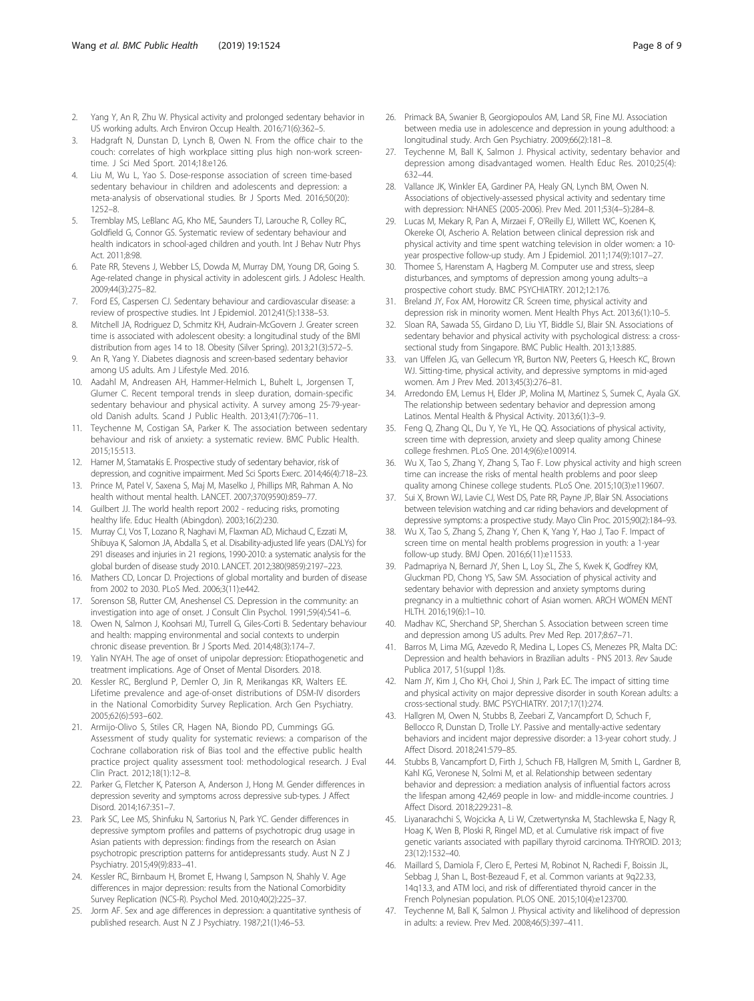- <span id="page-7-0"></span>2. Yang Y, An R, Zhu W. Physical activity and prolonged sedentary behavior in US working adults. Arch Environ Occup Health. 2016;71(6):362–5.
- 3. Hadgraft N, Dunstan D, Lynch B, Owen N. From the office chair to the couch: correlates of high workplace sitting plus high non-work screentime. J Sci Med Sport. 2014;18:e126.
- 4. Liu M, Wu L, Yao S. Dose-response association of screen time-based sedentary behaviour in children and adolescents and depression: a meta-analysis of observational studies. Br J Sports Med. 2016;50(20): 1252–8.
- 5. Tremblay MS, LeBlanc AG, Kho ME, Saunders TJ, Larouche R, Colley RC, Goldfield G, Connor GS. Systematic review of sedentary behaviour and health indicators in school-aged children and youth. Int J Behav Nutr Phys Act. 2011;8:98.
- 6. Pate RR, Stevens J, Webber LS, Dowda M, Murray DM, Young DR, Going S. Age-related change in physical activity in adolescent girls. J Adolesc Health. 2009;44(3):275–82.
- 7. Ford ES, Caspersen CJ. Sedentary behaviour and cardiovascular disease: a review of prospective studies. Int J Epidemiol. 2012;41(5):1338–53.
- 8. Mitchell JA, Rodriguez D, Schmitz KH, Audrain-McGovern J. Greater screen time is associated with adolescent obesity: a longitudinal study of the BMI distribution from ages 14 to 18. Obesity (Silver Spring). 2013;21(3):572–5.
- 9. An R, Yang Y. Diabetes diagnosis and screen-based sedentary behavior among US adults. Am J Lifestyle Med. 2016.
- 10. Aadahl M, Andreasen AH, Hammer-Helmich L, Buhelt L, Jorgensen T, Glumer C. Recent temporal trends in sleep duration, domain-specific sedentary behaviour and physical activity. A survey among 25-79-yearold Danish adults. Scand J Public Health. 2013;41(7):706–11.
- 11. Teychenne M, Costigan SA, Parker K. The association between sedentary behaviour and risk of anxiety: a systematic review. BMC Public Health. 2015;15:513.
- 12. Hamer M, Stamatakis E. Prospective study of sedentary behavior, risk of depression, and cognitive impairment. Med Sci Sports Exerc. 2014;46(4):718–23.
- 13. Prince M, Patel V, Saxena S, Maj M, Maselko J, Phillips MR, Rahman A. No health without mental health. LANCET. 2007;370(9590):859–77.
- 14. Guilbert JJ. The world health report 2002 reducing risks, promoting healthy life. Educ Health (Abingdon). 2003;16(2):230.
- 15. Murray CJ, Vos T, Lozano R, Naghavi M, Flaxman AD, Michaud C, Ezzati M, Shibuya K, Salomon JA, Abdalla S, et al. Disability-adjusted life years (DALYs) for 291 diseases and injuries in 21 regions, 1990-2010: a systematic analysis for the global burden of disease study 2010. LANCET. 2012;380(9859):2197–223.
- 16. Mathers CD, Loncar D. Projections of global mortality and burden of disease from 2002 to 2030. PLoS Med. 2006;3(11):e442.
- 17. Sorenson SB, Rutter CM, Aneshensel CS. Depression in the community: an investigation into age of onset. J Consult Clin Psychol. 1991;59(4):541–6.
- 18. Owen N, Salmon J, Koohsari MJ, Turrell G, Giles-Corti B. Sedentary behaviour and health: mapping environmental and social contexts to underpin chronic disease prevention. Br J Sports Med. 2014;48(3):174–7.
- 19. Yalin NYAH. The age of onset of unipolar depression: Etiopathogenetic and treatment implications. Age of Onset of Mental Disorders. 2018.
- 20. Kessler RC, Berglund P, Demler O, Jin R, Merikangas KR, Walters EE. Lifetime prevalence and age-of-onset distributions of DSM-IV disorders in the National Comorbidity Survey Replication. Arch Gen Psychiatry. 2005;62(6):593–602.
- 21. Armijo-Olivo S, Stiles CR, Hagen NA, Biondo PD, Cummings GG. Assessment of study quality for systematic reviews: a comparison of the Cochrane collaboration risk of Bias tool and the effective public health practice project quality assessment tool: methodological research. J Eval Clin Pract. 2012;18(1):12–8.
- 22. Parker G, Fletcher K, Paterson A, Anderson J, Hong M. Gender differences in depression severity and symptoms across depressive sub-types. J Affect Disord. 2014;167:351–7.
- 23. Park SC, Lee MS, Shinfuku N, Sartorius N, Park YC. Gender differences in depressive symptom profiles and patterns of psychotropic drug usage in Asian patients with depression: findings from the research on Asian psychotropic prescription patterns for antidepressants study. Aust N Z J Psychiatry. 2015;49(9):833–41.
- 24. Kessler RC, Birnbaum H, Bromet E, Hwang I, Sampson N, Shahly V. Age differences in major depression: results from the National Comorbidity Survey Replication (NCS-R). Psychol Med. 2010;40(2):225–37.
- 25. Jorm AF. Sex and age differences in depression: a quantitative synthesis of published research. Aust N Z J Psychiatry. 1987;21(1):46–53.
- 26. Primack BA, Swanier B, Georgiopoulos AM, Land SR, Fine MJ. Association between media use in adolescence and depression in young adulthood: a longitudinal study. Arch Gen Psychiatry. 2009;66(2):181–8.
- 27. Teychenne M, Ball K, Salmon J. Physical activity, sedentary behavior and depression among disadvantaged women. Health Educ Res. 2010;25(4): 632–44.
- Vallance JK, Winkler EA, Gardiner PA, Healy GN, Lynch BM, Owen N. Associations of objectively-assessed physical activity and sedentary time with depression: NHANES (2005-2006). Prev Med. 2011;53(4–5):284–8.
- 29. Lucas M, Mekary R, Pan A, Mirzaei F, O'Reilly EJ, Willett WC, Koenen K, Okereke OI, Ascherio A. Relation between clinical depression risk and physical activity and time spent watching television in older women: a 10 year prospective follow-up study. Am J Epidemiol. 2011;174(9):1017–27.
- 30. Thomee S, Harenstam A, Hagberg M. Computer use and stress, sleep disturbances, and symptoms of depression among young adults--a prospective cohort study. BMC PSYCHIATRY. 2012;12:176.
- 31. Breland JY, Fox AM, Horowitz CR. Screen time, physical activity and depression risk in minority women. Ment Health Phys Act. 2013;6(1):10–5.
- 32. Sloan RA, Sawada SS, Girdano D, Liu YT, Biddle SJ, Blair SN. Associations of sedentary behavior and physical activity with psychological distress: a crosssectional study from Singapore. BMC Public Health. 2013;13:885.
- 33. van Uffelen JG, van Gellecum YR, Burton NW, Peeters G, Heesch KC, Brown WJ. Sitting-time, physical activity, and depressive symptoms in mid-aged women. Am J Prev Med. 2013;45(3):276–81.
- 34. Arredondo EM, Lemus H, Elder JP, Molina M, Martinez S, Sumek C, Ayala GX. The relationship between sedentary behavior and depression among Latinos. Mental Health & Physical Activity. 2013;6(1):3–9.
- 35. Feng Q, Zhang QL, Du Y, Ye YL, He QQ. Associations of physical activity, screen time with depression, anxiety and sleep quality among Chinese college freshmen. PLoS One. 2014;9(6):e100914.
- 36. Wu X, Tao S, Zhang Y, Zhang S, Tao F. Low physical activity and high screen time can increase the risks of mental health problems and poor sleep quality among Chinese college students. PLoS One. 2015;10(3):e119607.
- 37. Sui X, Brown WJ, Lavie CJ, West DS, Pate RR, Payne JP, Blair SN. Associations between television watching and car riding behaviors and development of depressive symptoms: a prospective study. Mayo Clin Proc. 2015;90(2):184–93.
- 38. Wu X, Tao S, Zhang S, Zhang Y, Chen K, Yang Y, Hao J, Tao F. Impact of screen time on mental health problems progression in youth: a 1-year follow-up study. BMJ Open. 2016;6(11):e11533.
- 39. Padmapriya N, Bernard JY, Shen L, Loy SL, Zhe S, Kwek K, Godfrey KM, Gluckman PD, Chong YS, Saw SM. Association of physical activity and sedentary behavior with depression and anxiety symptoms during pregnancy in a multiethnic cohort of Asian women. ARCH WOMEN MENT HLTH. 2016;19(6):1–10.
- 40. Madhav KC, Sherchand SP, Sherchan S. Association between screen time and depression among US adults. Prev Med Rep. 2017;8:67–71.
- 41. Barros M, Lima MG, Azevedo R, Medina L, Lopes CS, Menezes PR, Malta DC: Depression and health behaviors in Brazilian adults - PNS 2013. Rev Saude Publica 2017, 51(suppl 1):8s.
- 42. Nam JY, Kim J, Cho KH, Choi J, Shin J, Park EC. The impact of sitting time and physical activity on major depressive disorder in south Korean adults: a cross-sectional study. BMC PSYCHIATRY. 2017;17(1):274.
- 43. Hallgren M, Owen N, Stubbs B, Zeebari Z, Vancampfort D, Schuch F, Bellocco R, Dunstan D, Trolle LY. Passive and mentally-active sedentary behaviors and incident major depressive disorder: a 13-year cohort study. J Affect Disord. 2018;241:579–85.
- 44. Stubbs B, Vancampfort D, Firth J, Schuch FB, Hallgren M, Smith L, Gardner B, Kahl KG, Veronese N, Solmi M, et al. Relationship between sedentary behavior and depression: a mediation analysis of influential factors across the lifespan among 42,469 people in low- and middle-income countries. J Affect Disord. 2018;229:231–8.
- 45. Liyanarachchi S, Wojcicka A, Li W, Czetwertynska M, Stachlewska E, Nagy R, Hoag K, Wen B, Ploski R, Ringel MD, et al. Cumulative risk impact of five genetic variants associated with papillary thyroid carcinoma. THYROID. 2013; 23(12):1532–40.
- 46. Maillard S, Damiola F, Clero E, Pertesi M, Robinot N, Rachedi F, Boissin JL, Sebbag J, Shan L, Bost-Bezeaud F, et al. Common variants at 9q22.33, 14q13.3, and ATM loci, and risk of differentiated thyroid cancer in the French Polynesian population. PLOS ONE. 2015;10(4):e123700.
- 47. Teychenne M, Ball K, Salmon J. Physical activity and likelihood of depression in adults: a review. Prev Med. 2008;46(5):397–411.